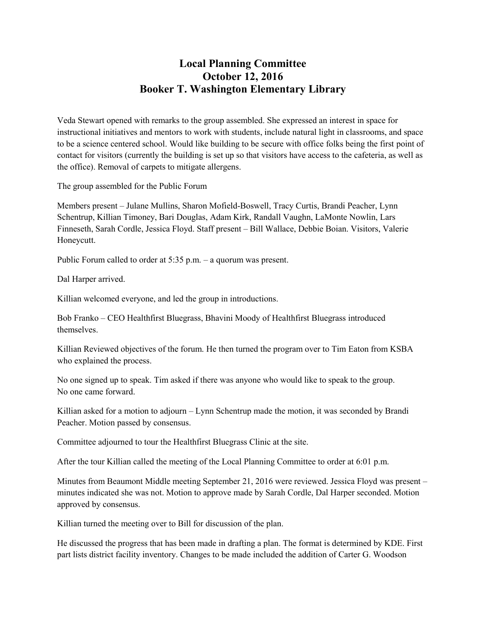## **Local Planning Committee October 12, 2016 Booker T. Washington Elementary Library**

Veda Stewart opened with remarks to the group assembled. She expressed an interest in space for instructional initiatives and mentors to work with students, include natural light in classrooms, and space to be a science centered school. Would like building to be secure with office folks being the first point of contact for visitors (currently the building is set up so that visitors have access to the cafeteria, as well as the office). Removal of carpets to mitigate allergens.

The group assembled for the Public Forum

Members present – Julane Mullins, Sharon Mofield-Boswell, Tracy Curtis, Brandi Peacher, Lynn Schentrup, Killian Timoney, Bari Douglas, Adam Kirk, Randall Vaughn, LaMonte Nowlin, Lars Finneseth, Sarah Cordle, Jessica Floyd. Staff present – Bill Wallace, Debbie Boian. Visitors, Valerie Honeycutt.

Public Forum called to order at 5:35 p.m. – a quorum was present.

Dal Harper arrived.

Killian welcomed everyone, and led the group in introductions.

Bob Franko – CEO Healthfirst Bluegrass, Bhavini Moody of Healthfirst Bluegrass introduced themselves.

Killian Reviewed objectives of the forum. He then turned the program over to Tim Eaton from KSBA who explained the process.

No one signed up to speak. Tim asked if there was anyone who would like to speak to the group. No one came forward.

Killian asked for a motion to adjourn – Lynn Schentrup made the motion, it was seconded by Brandi Peacher. Motion passed by consensus.

Committee adjourned to tour the Healthfirst Bluegrass Clinic at the site.

After the tour Killian called the meeting of the Local Planning Committee to order at 6:01 p.m.

Minutes from Beaumont Middle meeting September 21, 2016 were reviewed. Jessica Floyd was present – minutes indicated she was not. Motion to approve made by Sarah Cordle, Dal Harper seconded. Motion approved by consensus.

Killian turned the meeting over to Bill for discussion of the plan.

He discussed the progress that has been made in drafting a plan. The format is determined by KDE. First part lists district facility inventory. Changes to be made included the addition of Carter G. Woodson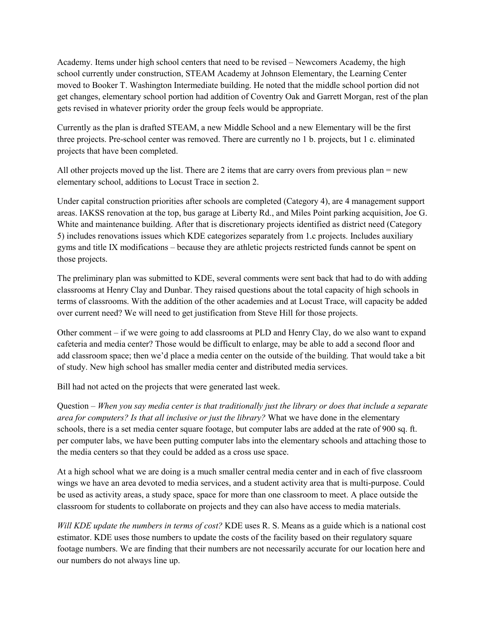Academy. Items under high school centers that need to be revised – Newcomers Academy, the high school currently under construction, STEAM Academy at Johnson Elementary, the Learning Center moved to Booker T. Washington Intermediate building. He noted that the middle school portion did not get changes, elementary school portion had addition of Coventry Oak and Garrett Morgan, rest of the plan gets revised in whatever priority order the group feels would be appropriate.

Currently as the plan is drafted STEAM, a new Middle School and a new Elementary will be the first three projects. Pre-school center was removed. There are currently no 1 b. projects, but 1 c. eliminated projects that have been completed.

All other projects moved up the list. There are 2 items that are carry overs from previous plan = new elementary school, additions to Locust Trace in section 2.

Under capital construction priorities after schools are completed (Category 4), are 4 management support areas. IAKSS renovation at the top, bus garage at Liberty Rd., and Miles Point parking acquisition, Joe G. White and maintenance building. After that is discretionary projects identified as district need (Category 5) includes renovations issues which KDE categorizes separately from 1.c projects. Includes auxiliary gyms and title IX modifications – because they are athletic projects restricted funds cannot be spent on those projects.

The preliminary plan was submitted to KDE, several comments were sent back that had to do with adding classrooms at Henry Clay and Dunbar. They raised questions about the total capacity of high schools in terms of classrooms. With the addition of the other academies and at Locust Trace, will capacity be added over current need? We will need to get justification from Steve Hill for those projects.

Other comment – if we were going to add classrooms at PLD and Henry Clay, do we also want to expand cafeteria and media center? Those would be difficult to enlarge, may be able to add a second floor and add classroom space; then we'd place a media center on the outside of the building. That would take a bit of study. New high school has smaller media center and distributed media services.

Bill had not acted on the projects that were generated last week.

Question – *When you say media center is that traditionally just the library or does that include a separate area for computers? Is that all inclusive or just the library?* What we have done in the elementary schools, there is a set media center square footage, but computer labs are added at the rate of 900 sq. ft. per computer labs, we have been putting computer labs into the elementary schools and attaching those to the media centers so that they could be added as a cross use space.

At a high school what we are doing is a much smaller central media center and in each of five classroom wings we have an area devoted to media services, and a student activity area that is multi-purpose. Could be used as activity areas, a study space, space for more than one classroom to meet. A place outside the classroom for students to collaborate on projects and they can also have access to media materials.

*Will KDE update the numbers in terms of cost?* KDE uses R. S. Means as a guide which is a national cost estimator. KDE uses those numbers to update the costs of the facility based on their regulatory square footage numbers. We are finding that their numbers are not necessarily accurate for our location here and our numbers do not always line up.